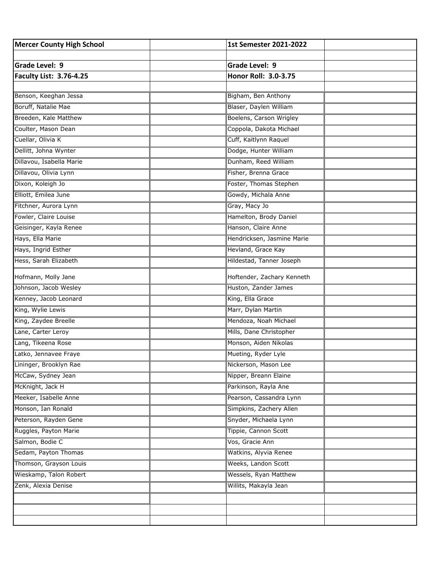| <b>Mercer County High School</b> | 1st Semester 2021-2022     |  |
|----------------------------------|----------------------------|--|
|                                  |                            |  |
| Grade Level: 9                   | Grade Level: 9             |  |
| <b>Faculty List: 3.76-4.25</b>   | Honor Roll: 3.0-3.75       |  |
| Benson, Keeghan Jessa            | Bigham, Ben Anthony        |  |
| Boruff, Natalie Mae              | Blaser, Daylen William     |  |
| Breeden, Kale Matthew            | Boelens, Carson Wrigley    |  |
|                                  |                            |  |
| Coulter, Mason Dean              | Coppola, Dakota Michael    |  |
| Cuellar, Olivia K                | Cuff, Kaitlynn Raquel      |  |
| Dellitt, Johna Wynter            | Dodge, Hunter William      |  |
| Dillavou, Isabella Marie         | Dunham, Reed William       |  |
| Dillavou, Olivia Lynn            | Fisher, Brenna Grace       |  |
| Dixon, Koleigh Jo                | Foster, Thomas Stephen     |  |
| Elliott, Emilea June             | Gowdy, Michala Anne        |  |
| Fitchner, Aurora Lynn            | Gray, Macy Jo              |  |
| Fowler, Claire Louise            | Hamelton, Brody Daniel     |  |
| Geisinger, Kayla Renee           | Hanson, Claire Anne        |  |
| Hays, Ella Marie                 | Hendricksen, Jasmine Marie |  |
| Hays, Ingrid Esther              | Hevland, Grace Kay         |  |
| Hess, Sarah Elizabeth            | Hildestad, Tanner Joseph   |  |
| Hofmann, Molly Jane              | Hoftender, Zachary Kenneth |  |
| Johnson, Jacob Wesley            | Huston, Zander James       |  |
| Kenney, Jacob Leonard            | King, Ella Grace           |  |
| King, Wylie Lewis                | Marr, Dylan Martin         |  |
| King, Zaydee Breelle             | Mendoza, Noah Michael      |  |
| Lane, Carter Leroy               | Mills, Dane Christopher    |  |
| Lang, Tikeena Rose               | Monson, Aiden Nikolas      |  |
| Latko, Jennavee Fraye            | Mueting, Ryder Lyle        |  |
| Lininger, Brooklyn Rae           | Nickerson, Mason Lee       |  |
| McCaw, Sydney Jean               | Nipper, Breann Elaine      |  |
| McKnight, Jack H                 | Parkinson, Rayla Ane       |  |
| Meeker, Isabelle Anne            | Pearson, Cassandra Lynn    |  |
| Monson, Ian Ronald               | Simpkins, Zachery Allen    |  |
| Peterson, Rayden Gene            | Snyder, Michaela Lynn      |  |
| Ruggles, Payton Marie            | Tippie, Cannon Scott       |  |
| Salmon, Bodie C                  | Vos, Gracie Ann            |  |
| Sedam, Payton Thomas             | Watkins, Alyvia Renee      |  |
| Thomson, Grayson Louis           | Weeks, Landon Scott        |  |
| Wieskamp, Talon Robert           | Wessels, Ryan Matthew      |  |
| Zenk, Alexia Denise              | Willits, Makayla Jean      |  |
|                                  |                            |  |
|                                  |                            |  |
|                                  |                            |  |
|                                  |                            |  |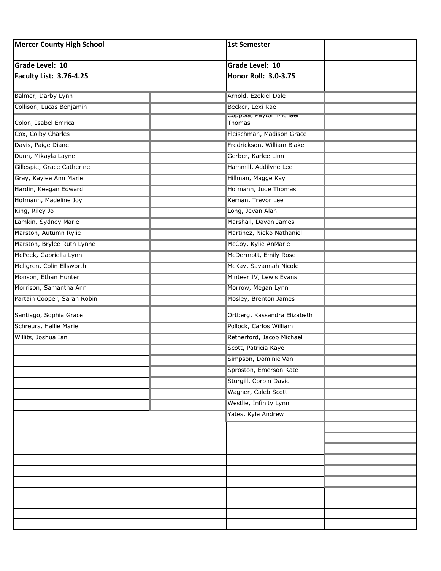| <b>Mercer County High School</b> | <b>1st Semester</b>                         |  |
|----------------------------------|---------------------------------------------|--|
|                                  |                                             |  |
| <b>Grade Level: 10</b>           | <b>Grade Level: 10</b>                      |  |
| <b>Faculty List: 3.76-4.25</b>   | Honor Roll: 3.0-3.75                        |  |
|                                  |                                             |  |
| Balmer, Darby Lynn               | Arnold, Ezekiel Dale                        |  |
| Collison, Lucas Benjamin         | Becker, Lexi Rae<br>Coppoia, Payton Michael |  |
| Colon, Isabel Emrica             | Thomas                                      |  |
| Cox, Colby Charles               | Fleischman, Madison Grace                   |  |
| Davis, Paige Diane               | Fredrickson, William Blake                  |  |
| Dunn, Mikayla Layne              | Gerber, Karlee Linn                         |  |
| Gillespie, Grace Catherine       | Hammill, Addilyne Lee                       |  |
| Gray, Kaylee Ann Marie           | Hillman, Magge Kay                          |  |
| Hardin, Keegan Edward            | Hofmann, Jude Thomas                        |  |
| Hofmann, Madeline Joy            | Kernan, Trevor Lee                          |  |
| King, Riley Jo                   | Long, Jevan Alan                            |  |
| Lamkin, Sydney Marie             | Marshall, Davan James                       |  |
| Marston, Autumn Rylie            | Martinez, Nieko Nathaniel                   |  |
| Marston, Brylee Ruth Lynne       | McCoy, Kylie AnMarie                        |  |
| McPeek, Gabriella Lynn           | McDermott, Emily Rose                       |  |
| Mellgren, Colin Ellsworth        | McKay, Savannah Nicole                      |  |
| Monson, Ethan Hunter             | Minteer IV, Lewis Evans                     |  |
| Morrison, Samantha Ann           | Morrow, Megan Lynn                          |  |
| Partain Cooper, Sarah Robin      | Mosley, Brenton James                       |  |
| Santiago, Sophia Grace           | Ortberg, Kassandra Elizabeth                |  |
| Schreurs, Hallie Marie           | Pollock, Carlos William                     |  |
| Willits, Joshua Ian              | Retherford, Jacob Michael                   |  |
|                                  | Scott, Patricia Kaye                        |  |
|                                  | Simpson, Dominic Van                        |  |
|                                  | Sproston, Emerson Kate                      |  |
|                                  | Sturgill, Corbin David                      |  |
|                                  | Wagner, Caleb Scott                         |  |
|                                  | Westlie, Infinity Lynn                      |  |
|                                  | Yates, Kyle Andrew                          |  |
|                                  |                                             |  |
|                                  |                                             |  |
|                                  |                                             |  |
|                                  |                                             |  |
|                                  |                                             |  |
|                                  |                                             |  |
|                                  |                                             |  |
|                                  |                                             |  |
|                                  |                                             |  |
|                                  |                                             |  |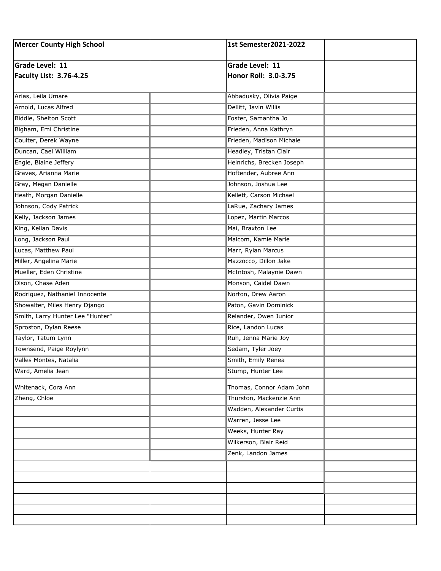| <b>Mercer County High School</b> | 1st Semester2021-2022     |
|----------------------------------|---------------------------|
|                                  |                           |
| Grade Level: 11                  | Grade Level: 11           |
| <b>Faculty List: 3.76-4.25</b>   | Honor Roll: 3.0-3.75      |
|                                  |                           |
| Arias, Leila Umare               | Abbadusky, Olivia Paige   |
| Arnold, Lucas Alfred             | Dellitt, Javin Willis     |
| Biddle, Shelton Scott            | Foster, Samantha Jo       |
| Bigham, Emi Christine            | Frieden, Anna Kathryn     |
| Coulter, Derek Wayne             | Frieden, Madison Michale  |
| Duncan, Cael William             | Headley, Tristan Clair    |
| Engle, Blaine Jeffery            | Heinrichs, Brecken Joseph |
| Graves, Arianna Marie            | Hoftender, Aubree Ann     |
| Gray, Megan Danielle             | Johnson, Joshua Lee       |
| Heath, Morgan Danielle           | Kellett, Carson Michael   |
| Johnson, Cody Patrick            | LaRue, Zachary James      |
| Kelly, Jackson James             | Lopez, Martin Marcos      |
| King, Kellan Davis               | Mai, Braxton Lee          |
| Long, Jackson Paul               | Malcom, Kamie Marie       |
| Lucas, Matthew Paul              | Marr, Rylan Marcus        |
| Miller, Angelina Marie           | Mazzocco, Dillon Jake     |
| Mueller, Eden Christine          | McIntosh, Malaynie Dawn   |
| Olson, Chase Aden                | Monson, Caidel Dawn       |
| Rodriguez, Nathaniel Innocente   | Norton, Drew Aaron        |
| Showalter, Miles Henry Django    | Paton, Gavin Dominick     |
| Smith, Larry Hunter Lee "Hunter" | Relander, Owen Junior     |
| Sproston, Dylan Reese            | Rice, Landon Lucas        |
| Taylor, Tatum Lynn               | Ruh, Jenna Marie Joy      |
| Townsend, Paige Roylynn          | Sedam, Tyler Joey         |
| Valles Montes, Natalia           | Smith, Emily Renea        |
| Ward, Amelia Jean                | Stump, Hunter Lee         |
| Whitenack, Cora Ann              | Thomas, Connor Adam John  |
| Zheng, Chloe                     | Thurston, Mackenzie Ann   |
|                                  | Wadden, Alexander Curtis  |
|                                  | Warren, Jesse Lee         |
|                                  | Weeks, Hunter Ray         |
|                                  | Wilkerson, Blair Reid     |
|                                  | Zenk, Landon James        |
|                                  |                           |
|                                  |                           |
|                                  |                           |
|                                  |                           |
|                                  |                           |
|                                  |                           |